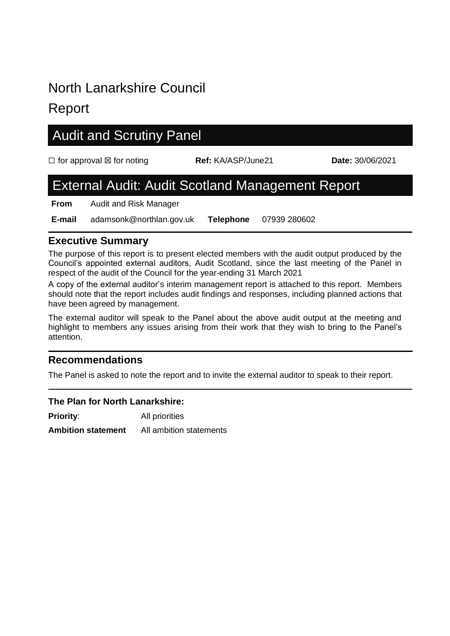## North Lanarkshire Council

### Report

## Audit and Scrutiny Panel

| $\Box$ for approval $\boxtimes$ for noting              | <b>Ref:</b> KA/ASP/June21 | <b>Date: 30/06/2021</b> |
|---------------------------------------------------------|---------------------------|-------------------------|
| <b>External Audit: Audit Scotland Management Report</b> |                           |                         |

**From** Audit and Risk Manager

**E-mail** adamsonk@northlan.gov.uk **Telephone** 07939 280602

#### **Executive Summary**

The purpose of this report is to present elected members with the audit output produced by the Council's appointed external auditors, Audit Scotland, since the last meeting of the Panel in respect of the audit of the Council for the year-ending 31 March 2021

A copy of the external auditor's interim management report is attached to this report. Members should note that the report includes audit findings and responses, including planned actions that have been agreed by management.

The external auditor will speak to the Panel about the above audit output at the meeting and highlight to members any issues arising from their work that they wish to bring to the Panel's attention.

#### **Recommendations**

The Panel is asked to note the report and to invite the external auditor to speak to their report.

#### **The Plan for North Lanarkshire:**

**Priority:** All priorities **Ambition statement** All ambition statements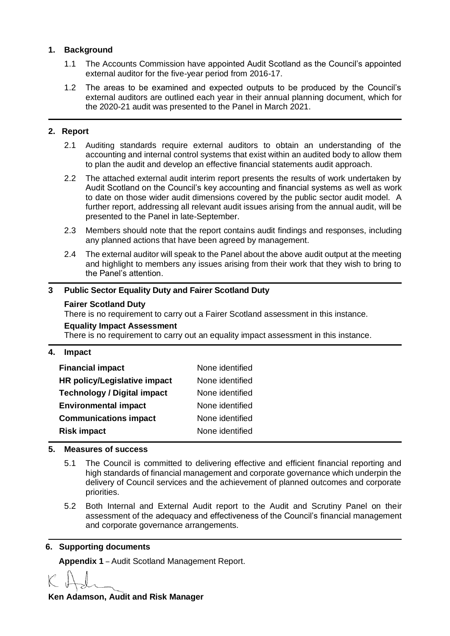#### **1. Background**

- 1.1 The Accounts Commission have appointed Audit Scotland as the Council's appointed external auditor for the five-year period from 2016-17.
- 1.2 The areas to be examined and expected outputs to be produced by the Council's external auditors are outlined each year in their annual planning document, which for the 2020-21 audit was presented to the Panel in March 2021.

#### **2. Report**

- 2.1 Auditing standards require external auditors to obtain an understanding of the accounting and internal control systems that exist within an audited body to allow them to plan the audit and develop an effective financial statements audit approach.
- 2.2 The attached external audit interim report presents the results of work undertaken by Audit Scotland on the Council's key accounting and financial systems as well as work to date on those wider audit dimensions covered by the public sector audit model. A further report, addressing all relevant audit issues arising from the annual audit, will be presented to the Panel in late-September.
- 2.3 Members should note that the report contains audit findings and responses, including any planned actions that have been agreed by management.
- 2.4 The external auditor will speak to the Panel about the above audit output at the meeting and highlight to members any issues arising from their work that they wish to bring to the Panel's attention.

#### **3 Public Sector Equality Duty and Fairer Scotland Duty**

#### **Fairer Scotland Duty**

There is no requirement to carry out a Fairer Scotland assessment in this instance.

#### **Equality Impact Assessment**

There is no requirement to carry out an equality impact assessment in this instance.

#### **4. Impact**

| <b>Financial impact</b>            | None identified |
|------------------------------------|-----------------|
| HR policy/Legislative impact       | None identified |
| <b>Technology / Digital impact</b> | None identified |
| <b>Environmental impact</b>        | None identified |
| <b>Communications impact</b>       | None identified |
| <b>Risk impact</b>                 | None identified |

#### **5. Measures of success**

- 5.1 The Council is committed to delivering effective and efficient financial reporting and high standards of financial management and corporate governance which underpin the delivery of Council services and the achievement of planned outcomes and corporate priorities.
- 5.2 Both Internal and External Audit report to the Audit and Scrutiny Panel on their assessment of the adequacy and effectiveness of the Council's financial management and corporate governance arrangements.

#### **6. Supporting documents**

**Appendix 1** – Audit Scotland Management Report.

**Ken Adamson, Audit and Risk Manager**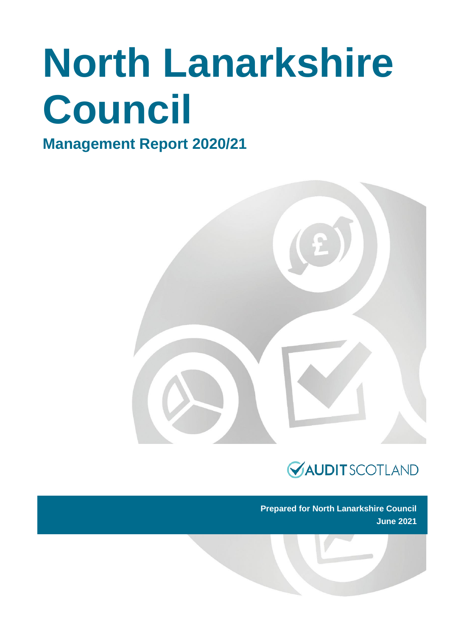# **North Lanarkshire Council**

## **Management Report 2020/21**





**Prepared for North Lanarkshire Council June 2021**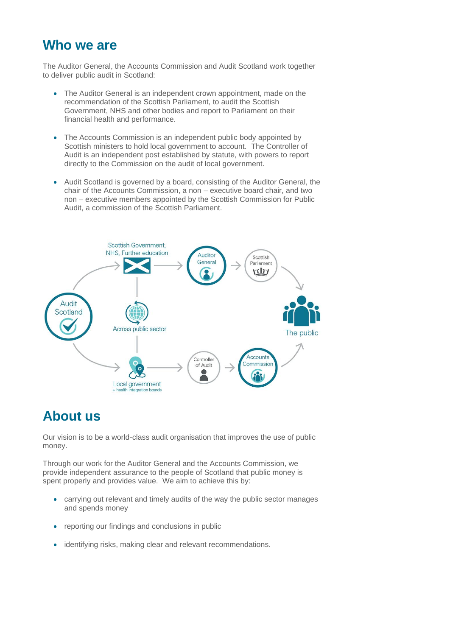## **Who we are**

The Auditor General, the Accounts Commission and Audit Scotland work together to deliver public audit in Scotland:

- The Auditor General is an independent crown appointment, made on the recommendation of the Scottish Parliament, to audit the Scottish Government, NHS and other bodies and report to Parliament on their financial health and performance.
- The Accounts Commission is an independent public body appointed by Scottish ministers to hold local government to account. The Controller of Audit is an independent post established by statute, with powers to report directly to the Commission on the audit of local government.
- Audit Scotland is governed by a board, consisting of the Auditor General, the chair of the Accounts Commission, a non – executive board chair, and two non – executive members appointed by the Scottish Commission for Public Audit, a commission of the Scottish Parliament.



### **About us**

Our vision is to be a world-class audit organisation that improves the use of public money.

Through our work for the Auditor General and the Accounts Commission, we provide independent assurance to the people of Scotland that public money is spent properly and provides value. We aim to achieve this by:

- carrying out relevant and timely audits of the way the public sector manages and spends money
- reporting our findings and conclusions in public
- identifying risks, making clear and relevant recommendations.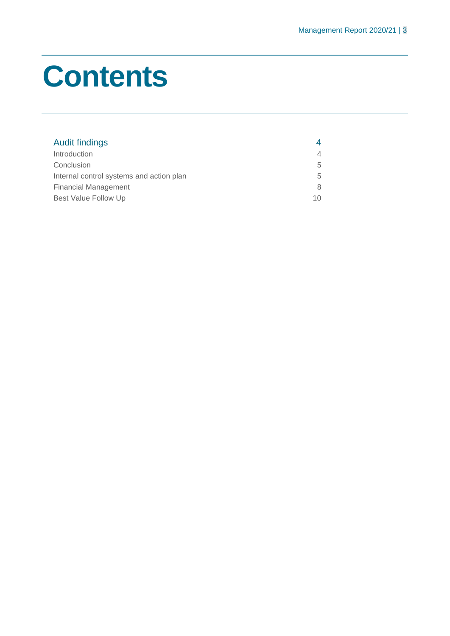## **Contents**

| <b>Audit findings</b>                    | 4  |
|------------------------------------------|----|
| Introduction                             | 4  |
| Conclusion                               | 5  |
| Internal control systems and action plan | 5  |
| <b>Financial Management</b>              | 8  |
| Best Value Follow Up                     | 10 |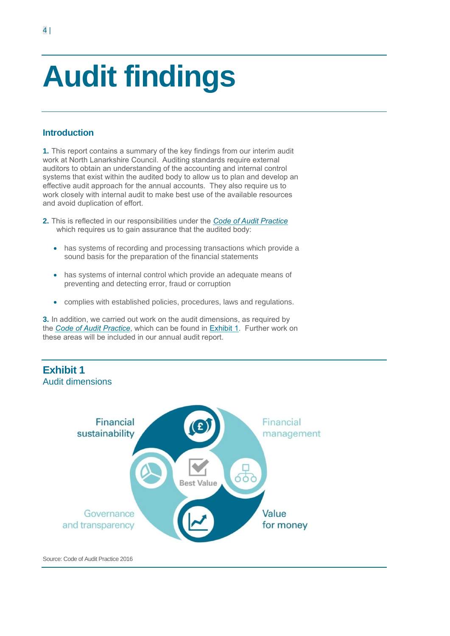## **Audit findings**

#### **Introduction**

**1.** This report contains a summary of the key findings from our interim audit work at North Lanarkshire Council. Auditing standards require external auditors to obtain an understanding of the accounting and internal control systems that exist within the audited body to allow us to plan and develop an effective audit approach for the annual accounts. They also require us to work closely with internal audit to make best use of the available resources and avoid duplication of effort.

- **2.** This is reflected in our responsibilities under the *[Code of Audit Practice](http://www.audit-scotland.gov.uk/report/code-of-audit-practice-2016)* which requires us to gain assurance that the audited body:
	- has systems of recording and processing transactions which provide a sound basis for the preparation of the financial statements
	- has systems of internal control which provide an adequate means of preventing and detecting error, fraud or corruption
	- complies with established policies, procedures, laws and regulations.

**3.** In addition, we carried out work on the audit dimensions, as required by the *[Code of Audit Practice](http://www.audit-scotland.gov.uk/report/code-of-audit-practice-2016)*, which can be found in [Exhibit 1.](#page-5-0) Further work on these areas will be included in our annual audit report.

<span id="page-5-0"></span>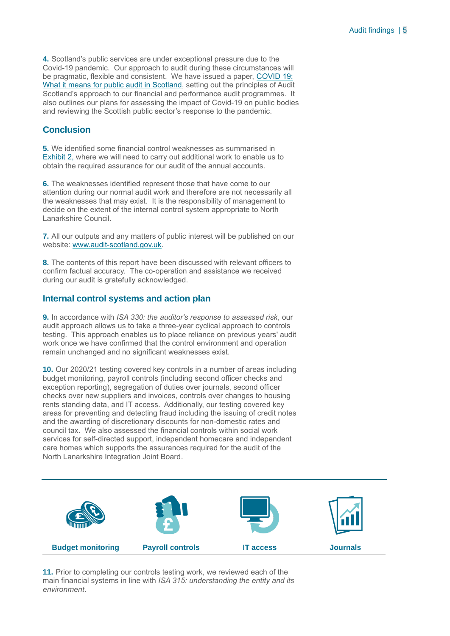**4.** Scotland's public services are under exceptional pressure due to the Covid-19 pandemic. Our approach to audit during these circumstances will be pragmatic, flexible and consistent. We have issued a paper, [COVID](https://www.audit-scotland.gov.uk/report/covid-19-what-it-means-for-public-audit-in-scotland) 19: What it means for public audit in [Scotland,](https://www.audit-scotland.gov.uk/report/covid-19-what-it-means-for-public-audit-in-scotland) setting out the principles of Audit Scotland's approach to our financial and performance audit programmes. It also outlines our plans for assessing the impact of Covid-19 on public bodies and reviewing the Scottish public sector's response to the pandemic.

#### **Conclusion**

**5.** We identified some financial control weaknesses as summarised in [Exhibit 2,](#page-7-0) where we will need to carry out additional work to enable us to obtain the required assurance for our audit of the annual accounts.

**6.** The weaknesses identified represent those that have come to our attention during our normal audit work and therefore are not necessarily all the weaknesses that may exist. It is the responsibility of management to decide on the extent of the internal control system appropriate to North Lanarkshire Council.

**7.** All our outputs and any matters of public interest will be published on our website: [www.audit-scotland.gov.uk.](file://///Profile-01/publications/MacBackups/Work%20in%20Progress/ASG%20word%20template%20review/Controls%20report%20template/www.audit-scotland.gov.uk)

**8.** The contents of this report have been discussed with relevant officers to confirm factual accuracy. The co-operation and assistance we received during our audit is gratefully acknowledged.

#### **Internal control systems and action plan**

**9.** In accordance with *ISA 330: the auditor's response to assessed risk*, our audit approach allows us to take a three-year cyclical approach to controls testing. This approach enables us to place reliance on previous years' audit work once we have confirmed that the control environment and operation remain unchanged and no significant weaknesses exist.

**10.** Our 2020/21 testing covered key controls in a number of areas including budget monitoring, payroll controls (including second officer checks and exception reporting), segregation of duties over journals, second officer checks over new suppliers and invoices, controls over changes to housing rents standing data, and IT access. Additionally, our testing covered key areas for preventing and detecting fraud including the issuing of credit notes and the awarding of discretionary discounts for non-domestic rates and council tax. We also assessed the financial controls within social work services for self-directed support, independent homecare and independent care homes which supports the assurances required for the audit of the North Lanarkshire Integration Joint Board.



**11.** Prior to completing our controls testing work, we reviewed each of the main financial systems in line with *ISA 315: understanding the entity and its environment*.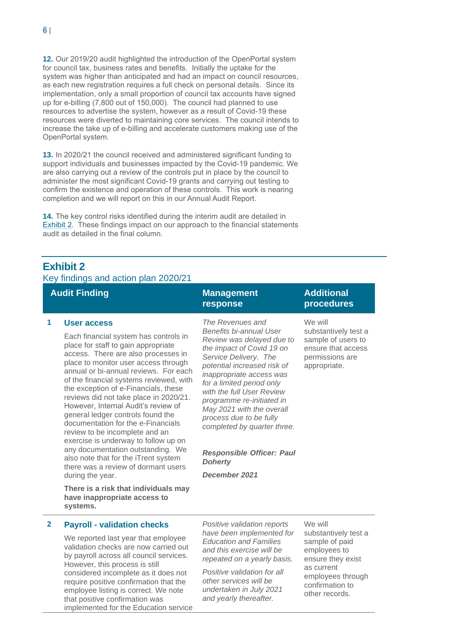**12.** Our 2019/20 audit highlighted the introduction of the OpenPortal system for council tax, business rates and benefits. Initially the uptake for the system was higher than anticipated and had an impact on council resources, as each new registration requires a full check on personal details. Since its implementation, only a small proportion of council tax accounts have signed up for e-billing (7,800 out of 150,000). The council had planned to use resources to advertise the system, however as a result of Covid-19 these resources were diverted to maintaining core services. The council intends to increase the take up of e-billing and accelerate customers making use of the OpenPortal system.

**13.** In 2020/21 the council received and administered significant funding to support individuals and businesses impacted by the Covid-19 pandemic. We are also carrying out a review of the controls put in place by the council to administer the most significant Covid-19 grants and carrying out testing to confirm the existence and operation of these controls. This work is nearing completion and we will report on this in our Annual Audit Report.

**14.** The key control risks identified during the interim audit are detailed in [Exhibit 2.](#page-7-0) These findings impact on our approach to the financial statements audit as detailed in the final column.

#### <span id="page-7-0"></span>**Exhibit 2**

#### Key findings and action plan 2020/21

| <b>Audit Finding</b> |  |
|----------------------|--|
|----------------------|--|

#### **Management response**

#### **1 User access**

Each financial system has controls in place for staff to gain appropriate access. There are also processes in place to monitor user access through annual or bi-annual reviews. For each of the financial systems reviewed, with the exception of e-Financials, these reviews did not take place in 2020/21. However, Internal Audit's review of general ledger controls found the documentation for the e-Financials review to be incomplete and an exercise is underway to follow up on any documentation outstanding. We also note that for the iTrent system there was a review of dormant users during the year.

**There is a risk that individuals may have inappropriate access to systems.** 

#### *The Revenues and Benefits bi-annual User Review was delayed due to the impact of Covid 19 on Service Delivery. The potential increased risk of inappropriate access was for a limited period only with the full User Review programme re-initiated in May 2021 with the overall process due to be fully completed by quarter three.*

*Responsible Officer: Paul Doherty*

*December 2021*

#### **Additional procedures**

We will substantively test a sample of users to ensure that access permissions are appropriate.

#### **2 Payroll - validation checks**

We reported last year that employee validation checks are now carried out by payroll across all council services. However, this process is still considered incomplete as it does not require positive confirmation that the employee listing is correct. We note that positive confirmation was implemented for the Education service *Positive validation reports have been implemented for Education and Families and this exercise will be repeated on a yearly basis.*

*Positive validation for all other services will be undertaken in July 2021 and yearly thereafter.*

We will substantively test a sample of paid employees to ensure they exist as current employees through confirmation to other records.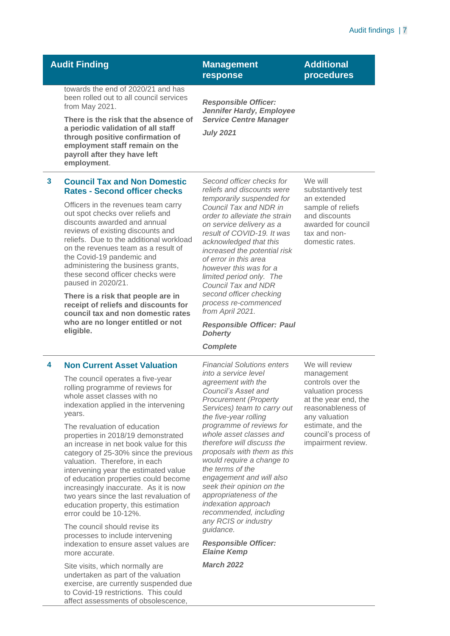#### **Audit Finding Management Construction Audit Finding Management**

## **response**

**Additional procedures**

towards the end of 2020/21 and has been rolled out to all council services from May 2021.

**There is the risk that the absence of a periodic validation of all staff through positive confirmation of employment staff remain on the payroll after they have left employment**.

*Responsible Officer: Jennifer Hardy, Employee Service Centre Manager July 2021*

#### **3 Council Tax and Non Domestic Rates - Second officer checks**

Officers in the revenues team carry out spot checks over reliefs and discounts awarded and annual reviews of existing discounts and reliefs. Due to the additional workload on the revenues team as a result of the Covid-19 pandemic and administering the business grants, these second officer checks were paused in 2020/21.

**There is a risk that people are in receipt of reliefs and discounts for council tax and non domestic rates who are no longer entitled or not eligible.** 

#### **4 Non Current Asset Valuation**

The council operates a five-year rolling programme of reviews for whole asset classes with no indexation applied in the intervening years.

The revaluation of education properties in 2018/19 demonstrated an increase in net book value for this category of 25-30% since the previous valuation. Therefore, in each intervening year the estimated value of education properties could become increasingly inaccurate. As it is now two years since the last revaluation of education property, this estimation error could be 10-12%.

The council should revise its processes to include intervening indexation to ensure asset values are more accurate.

Site visits, which normally are undertaken as part of the valuation exercise, are currently suspended due to Covid-19 restrictions. This could affect assessments of obsolescence,

*Second officer checks for reliefs and discounts were temporarily suspended for Council Tax and NDR in order to alleviate the strain on service delivery as a result of COVID-19. It was acknowledged that this increased the potential risk of error in this area however this was for a limited period only. The Council Tax and NDR second officer checking process re-commenced from April 2021.*

#### *Responsible Officer: Paul Doherty*

#### *Complete*

*Financial Solutions enters into a service level agreement with the Council's Asset and Procurement (Property Services) team to carry out the five-year rolling programme of reviews for whole asset classes and therefore will discuss the proposals with them as this would require a change to the terms of the engagement and will also seek their opinion on the appropriateness of the indexation approach recommended, including any RCIS or industry guidance.* 

#### *Responsible Officer: Elaine Kemp*

*March 2022*

We will review management controls over the valuation process at the year end, the reasonableness of any valuation estimate, and the council's process of impairment review.

We will substantively test an extended sample of reliefs and discounts awarded for council tax and nondomestic rates.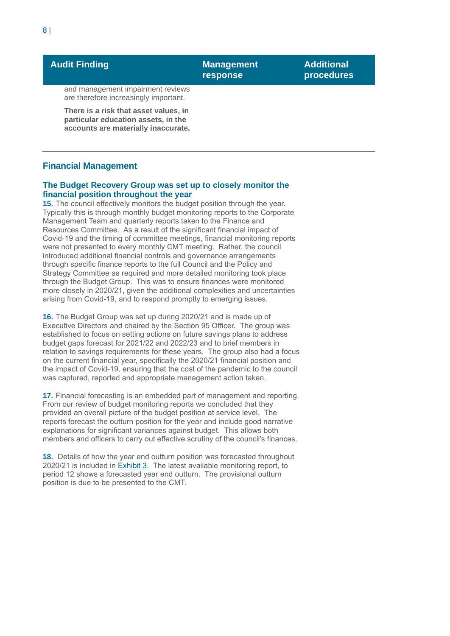| <b>Audit Finding</b>                                                                                                | <b>Management</b><br>response | <b>Additional</b><br>procedures |
|---------------------------------------------------------------------------------------------------------------------|-------------------------------|---------------------------------|
| and management impairment reviews<br>are therefore increasingly important.                                          |                               |                                 |
| There is a risk that asset values, in<br>particular education assets, in the<br>accounts are materially inaccurate. |                               |                                 |

#### **Financial Management**

#### **The Budget Recovery Group was set up to closely monitor the financial position throughout the year**

**15.** The council effectively monitors the budget position through the year. Typically this is through monthly budget monitoring reports to the Corporate Management Team and quarterly reports taken to the Finance and Resources Committee. As a result of the significant financial impact of Covid-19 and the timing of committee meetings, financial monitoring reports were not presented to every monthly CMT meeting. Rather, the council introduced additional financial controls and governance arrangements through specific finance reports to the full Council and the Policy and Strategy Committee as required and more detailed monitoring took place through the Budget Group. This was to ensure finances were monitored more closely in 2020/21, given the additional complexities and uncertainties arising from Covid-19, and to respond promptly to emerging issues.

**16.** The Budget Group was set up during 2020/21 and is made up of Executive Directors and chaired by the Section 95 Officer. The group was established to focus on setting actions on future savings plans to address budget gaps forecast for 2021/22 and 2022/23 and to brief members in relation to savings requirements for these years. The group also had a focus on the current financial year, specifically the 2020/21 financial position and the impact of Covid-19, ensuring that the cost of the pandemic to the council was captured, reported and appropriate management action taken.

**17.** Financial forecasting is an embedded part of management and reporting. From our review of budget monitoring reports we concluded that they provided an overall picture of the budget position at service level. The reports forecast the outturn position for the year and include good narrative explanations for significant variances against budget. This allows both members and officers to carry out effective scrutiny of the council's finances.

**18.** Details of how the year end outturn position was forecasted throughout 2020/21 is included in Exhibit 3. The latest available monitoring report, to period 12 shows a forecasted year end outturn. The provisional outturn position is due to be presented to the CMT.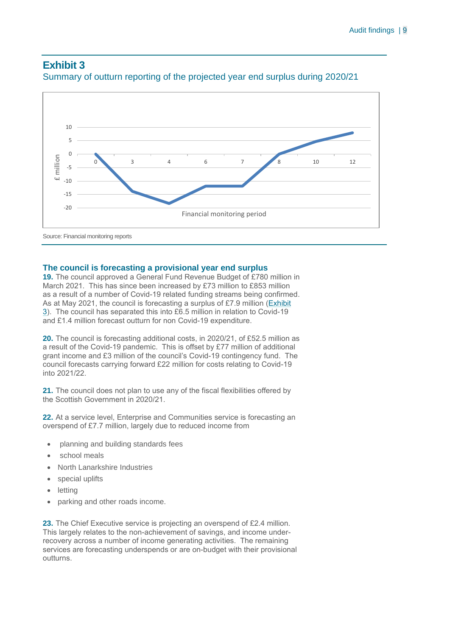#### **Exhibit 3**



Summary of outturn reporting of the projected year end surplus during 2020/21

#### **The council is forecasting a provisional year end surplus**

**19.** The council approved a General Fund Revenue Budget of £780 million in March 2021. This has since been increased by £73 million to £853 million as a result of a number of Covid-19 related funding streams being confirmed. As at May 2021, the council is forecasting a surplus of £7.9 million (Exhibit 3). The council has separated this into £6.5 million in relation to Covid-19 and £1.4 million forecast outturn for non Covid-19 expenditure.

**20.** The council is forecasting additional costs, in 2020/21, of £52.5 million as a result of the Covid-19 pandemic. This is offset by £77 million of additional grant income and £3 million of the council's Covid-19 contingency fund. The council forecasts carrying forward £22 million for costs relating to Covid-19 into 2021/22.

**21.** The council does not plan to use any of the fiscal flexibilities offered by the Scottish Government in 2020/21.

**22.** At a service level, Enterprise and Communities service is forecasting an overspend of £7.7 million, largely due to reduced income from

- planning and building standards fees
- school meals
- North Lanarkshire Industries
- special uplifts
- **letting**
- parking and other roads income.

**23.** The Chief Executive service is projecting an overspend of £2.4 million. This largely relates to the non-achievement of savings, and income underrecovery across a number of income generating activities. The remaining services are forecasting underspends or are on-budget with their provisional outturns.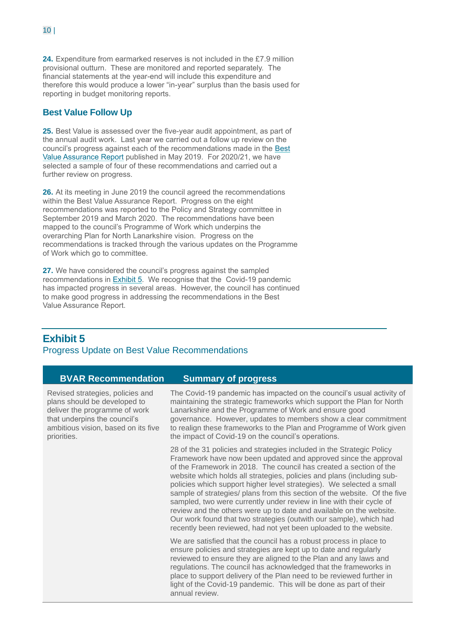**24.** Expenditure from earmarked reserves is not included in the £7.9 million provisional outturn. These are monitored and reported separately. The financial statements at the year-end will include this expenditure and therefore this would produce a lower "in-year" surplus than the basis used for reporting in budget monitoring reports.

#### **Best Value Follow Up**

**25.** Best Value is assessed over the five-year audit appointment, as part of the annual audit work. Last year we carried out a follow up review on the council's progress against each of the recommendations made in the [Best](https://www.audit-scotland.gov.uk/uploads/docs/report/2019/bv_190523_north_lanarkshire.pdf)  [Value Assurance Report](https://www.audit-scotland.gov.uk/uploads/docs/report/2019/bv_190523_north_lanarkshire.pdf) published in May 2019. For 2020/21, we have selected a sample of four of these recommendations and carried out a further review on progress.

**26.** At its meeting in June 2019 the council agreed the recommendations within the Best Value Assurance Report. Progress on the eight recommendations was reported to the Policy and Strategy committee in September 2019 and March 2020. The recommendations have been mapped to the council's Programme of Work which underpins the overarching Plan for North Lanarkshire vision. Progress on the recommendations is tracked through the various updates on the Programme of Work which go to committee.

**27.** We have considered the council's progress against the sampled recommendations in Exhibit 5. We recognise that the Covid-19 pandemic has impacted progress in several areas. However, the council has continued to make good progress in addressing the recommendations in the Best Value Assurance Report.

#### **Exhibit 5** Progress Update on Best Value Recommendations

#### **BVAR Recommendation Summary of progress**

Revised strategies, policies and plans should be developed to deliver the programme of work that underpins the council's ambitious vision, based on its five priorities.

The Covid-19 pandemic has impacted on the council's usual activity of maintaining the strategic frameworks which support the Plan for North Lanarkshire and the Programme of Work and ensure good governance. However, updates to members show a clear commitment to realign these frameworks to the Plan and Programme of Work given the impact of Covid-19 on the council's operations.

28 of the 31 policies and strategies included in the Strategic Policy Framework have now been updated and approved since the approval of the Framework in 2018. The council has created a section of the website which holds all strategies, policies and plans (including subpolicies which support higher level strategies). We selected a small sample of strategies/ plans from this section of the website. Of the five sampled, two were currently under review in line with their cycle of review and the others were up to date and available on the website. Our work found that two strategies (outwith our sample), which had recently been reviewed, had not yet been uploaded to the website.

We are satisfied that the council has a robust process in place to ensure policies and strategies are kept up to date and regularly reviewed to ensure they are aligned to the Plan and any laws and regulations. The council has acknowledged that the frameworks in place to support delivery of the Plan need to be reviewed further in light of the Covid-19 pandemic. This will be done as part of their annual review.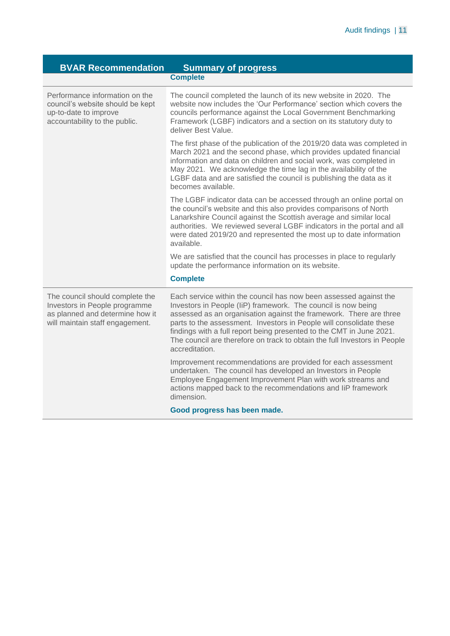| <b>BVAR Recommendation</b>                                                                                                             | <b>Summary of progress</b>                                                                                                                                                                                                                                                                                                                                                                                                                             |
|----------------------------------------------------------------------------------------------------------------------------------------|--------------------------------------------------------------------------------------------------------------------------------------------------------------------------------------------------------------------------------------------------------------------------------------------------------------------------------------------------------------------------------------------------------------------------------------------------------|
|                                                                                                                                        | <b>Complete</b>                                                                                                                                                                                                                                                                                                                                                                                                                                        |
| Performance information on the<br>council's website should be kept<br>up-to-date to improve<br>accountability to the public.           | The council completed the launch of its new website in 2020. The<br>website now includes the 'Our Performance' section which covers the<br>councils performance against the Local Government Benchmarking<br>Framework (LGBF) indicators and a section on its statutory duty to<br>deliver Best Value.                                                                                                                                                 |
|                                                                                                                                        | The first phase of the publication of the 2019/20 data was completed in<br>March 2021 and the second phase, which provides updated financial<br>information and data on children and social work, was completed in<br>May 2021. We acknowledge the time lag in the availability of the<br>LGBF data and are satisfied the council is publishing the data as it<br>becomes available.                                                                   |
|                                                                                                                                        | The LGBF indicator data can be accessed through an online portal on<br>the council's website and this also provides comparisons of North<br>Lanarkshire Council against the Scottish average and similar local<br>authorities. We reviewed several LGBF indicators in the portal and all<br>were dated 2019/20 and represented the most up to date information<br>available.                                                                           |
|                                                                                                                                        | We are satisfied that the council has processes in place to regularly<br>update the performance information on its website.                                                                                                                                                                                                                                                                                                                            |
|                                                                                                                                        | <b>Complete</b>                                                                                                                                                                                                                                                                                                                                                                                                                                        |
| The council should complete the<br>Investors in People programme<br>as planned and determine how it<br>will maintain staff engagement. | Each service within the council has now been assessed against the<br>Investors in People (IiP) framework. The council is now being<br>assessed as an organisation against the framework. There are three<br>parts to the assessment. Investors in People will consolidate these<br>findings with a full report being presented to the CMT in June 2021.<br>The council are therefore on track to obtain the full Investors in People<br>accreditation. |
|                                                                                                                                        | Improvement recommendations are provided for each assessment<br>undertaken. The council has developed an Investors in People<br>Employee Engagement Improvement Plan with work streams and<br>actions mapped back to the recommendations and liP framework<br>dimension.                                                                                                                                                                               |
|                                                                                                                                        | Good progress has been made.                                                                                                                                                                                                                                                                                                                                                                                                                           |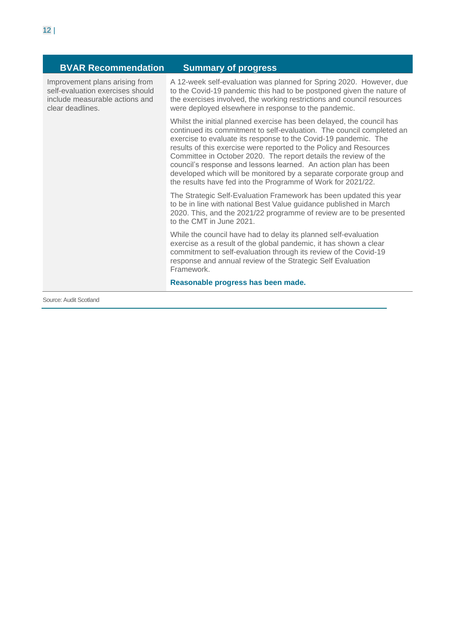| <b>BVAR Recommendation</b>                                                                                               | <b>Summary of progress</b>                                                                                                                                                                                                                                                                                                                                                                                                                                                                                                                                           |
|--------------------------------------------------------------------------------------------------------------------------|----------------------------------------------------------------------------------------------------------------------------------------------------------------------------------------------------------------------------------------------------------------------------------------------------------------------------------------------------------------------------------------------------------------------------------------------------------------------------------------------------------------------------------------------------------------------|
| Improvement plans arising from<br>self-evaluation exercises should<br>include measurable actions and<br>clear deadlines. | A 12-week self-evaluation was planned for Spring 2020. However, due<br>to the Covid-19 pandemic this had to be postponed given the nature of<br>the exercises involved, the working restrictions and council resources<br>were deployed elsewhere in response to the pandemic.                                                                                                                                                                                                                                                                                       |
|                                                                                                                          | Whilst the initial planned exercise has been delayed, the council has<br>continued its commitment to self-evaluation. The council completed an<br>exercise to evaluate its response to the Covid-19 pandemic. The<br>results of this exercise were reported to the Policy and Resources<br>Committee in October 2020. The report details the review of the<br>council's response and lessons learned. An action plan has been<br>developed which will be monitored by a separate corporate group and<br>the results have fed into the Programme of Work for 2021/22. |
|                                                                                                                          | The Strategic Self-Evaluation Framework has been updated this year<br>to be in line with national Best Value guidance published in March<br>2020. This, and the 2021/22 programme of review are to be presented<br>to the CMT in June 2021.                                                                                                                                                                                                                                                                                                                          |
|                                                                                                                          | While the council have had to delay its planned self-evaluation<br>exercise as a result of the global pandemic, it has shown a clear<br>commitment to self-evaluation through its review of the Covid-19<br>response and annual review of the Strategic Self Evaluation<br>Framework.                                                                                                                                                                                                                                                                                |
|                                                                                                                          | Reasonable progress has been made.                                                                                                                                                                                                                                                                                                                                                                                                                                                                                                                                   |

Source: Audit Scotland